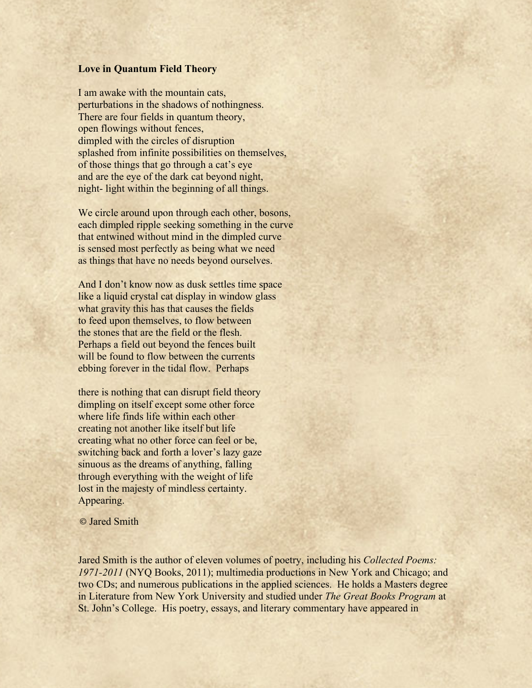## **Love in Quantum Field Theory**

I am awake with the mountain cats, perturbations in the shadows of nothingness. There are four fields in quantum theory, open flowings without fences, dimpled with the circles of disruption splashed from infinite possibilities on themselves, of those things that go through a cat's eye and are the eye of the dark cat beyond night, night- light within the beginning of all things.

We circle around upon through each other, bosons, each dimpled ripple seeking something in the curve that entwined without mind in the dimpled curve is sensed most perfectly as being what we need as things that have no needs beyond ourselves.

And I don't know now as dusk settles time space like a liquid crystal cat display in window glass what gravity this has that causes the fields to feed upon themselves, to flow between the stones that are the field or the flesh. Perhaps a field out beyond the fences built will be found to flow between the currents ebbing forever in the tidal flow. Perhaps

there is nothing that can disrupt field theory dimpling on itself except some other force where life finds life within each other creating not another like itself but life creating what no other force can feel or be, switching back and forth a lover's lazy gaze sinuous as the dreams of anything, falling through everything with the weight of life lost in the majesty of mindless certainty. Appearing.

© Jared Smith

Jared Smith is the author of eleven volumes of poetry, including his *Collected Poems: 1971-2011* (NYQ Books, 2011); multimedia productions in New York and Chicago; and two CDs; and numerous publications in the applied sciences. He holds a Masters degree in Literature from New York University and studied under *The Great Books Program* at St. John's College. His poetry, essays, and literary commentary have appeared in